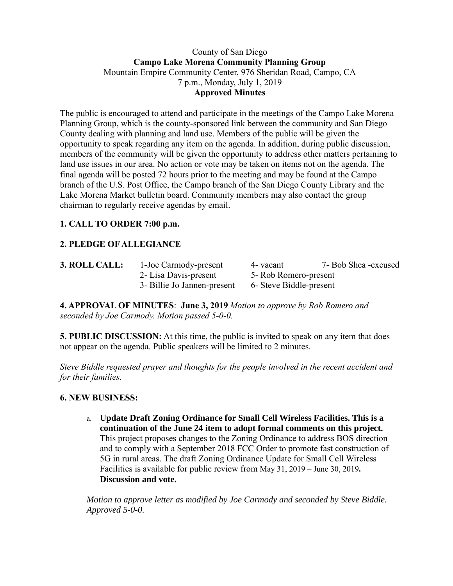#### County of San Diego **Campo Lake Morena Community Planning Group** Mountain Empire Community Center, 976 Sheridan Road, Campo, CA 7 p.m., Monday, July 1, 2019 **Approved Minutes**

The public is encouraged to attend and participate in the meetings of the Campo Lake Morena Planning Group, which is the county-sponsored link between the community and San Diego County dealing with planning and land use. Members of the public will be given the opportunity to speak regarding any item on the agenda. In addition, during public discussion, members of the community will be given the opportunity to address other matters pertaining to land use issues in our area. No action or vote may be taken on items not on the agenda. The final agenda will be posted 72 hours prior to the meeting and may be found at the Campo branch of the U.S. Post Office, the Campo branch of the San Diego County Library and the Lake Morena Market bulletin board. Community members may also contact the group chairman to regularly receive agendas by email.

# **1. CALL TO ORDER 7:00 p.m.**

# **2. PLEDGE OF ALLEGIANCE**

| 3. ROLL CALL: | 1-Joe Carmody-present       | 4 - vacant              | 7- Bob Shea -excused |
|---------------|-----------------------------|-------------------------|----------------------|
|               | 2- Lisa Davis-present       | 5- Rob Romero-present   |                      |
|               | 3- Billie Jo Jannen-present | 6- Steve Biddle-present |                      |

**4. APPROVAL OF MINUTES**: **June 3, 2019** *Motion to approve by Rob Romero and seconded by Joe Carmody. Motion passed 5-0-0.*

**5. PUBLIC DISCUSSION:** At this time, the public is invited to speak on any item that does not appear on the agenda. Public speakers will be limited to 2 minutes.

*Steve Biddle requested prayer and thoughts for the people involved in the recent accident and for their families.*

## **6. NEW BUSINESS:**

a. **Update Draft Zoning Ordinance for Small Cell Wireless Facilities. This is a continuation of the June 24 item to adopt formal comments on this project.** This project proposes changes to the Zoning Ordinance to address BOS direction and to comply with a September 2018 FCC Order to promote fast construction of 5G in rural areas. The draft Zoning Ordinance Update for Small Cell Wireless Facilities is available for public review from May 31, 2019 – June 30, 2019**. Discussion and vote.** 

*Motion to approve letter as modified by Joe Carmody and seconded by Steve Biddle. Approved 5-0-0.*